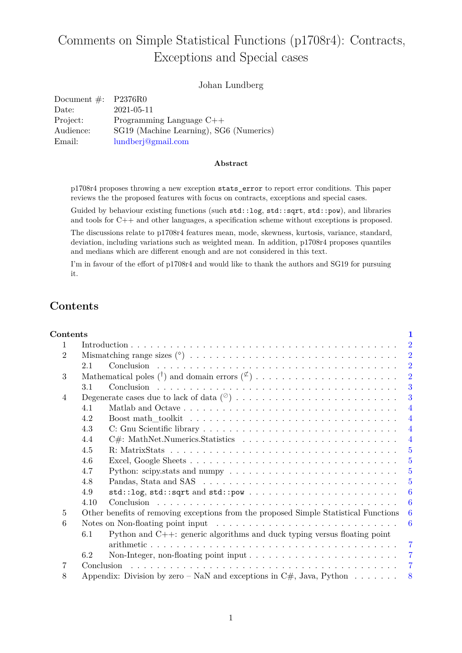# Comments on Simple Statistical Functions (p1708r4): Contracts, Exceptions and Special cases

### Johan Lundberg

| Document $\#$ : P2376R0 |                                         |
|-------------------------|-----------------------------------------|
| Date:                   | 2021-05-11                              |
| Project:                | Programming Language $C++$              |
| Audience:               | SG19 (Machine Learning), SG6 (Numerics) |
| Email:                  | lundberj@gmail.com                      |

#### **Abstract**

p1708r4 proposes throwing a new exception stats\_error to report error conditions. This paper reviews the the proposed features with focus on contracts, exceptions and special cases.

Guided by behaviour existing functions (such std::log, std::sqrt, std::pow), and libraries and tools for C++ and other languages, a specification scheme without exceptions is proposed.

The discussions relate to p1708r4 features mean, mode, skewness, kurtosis, variance, standard, deviation, including variations such as weighted mean. In addition, p1708r4 proposes quantiles and medians which are different enough and are not considered in this text.

I'm in favour of the effort of p1708r4 and would like to thank the authors and SG19 for pursuing it.

## <span id="page-0-0"></span>**Contents**

| Contents       |                                                                                                       | 1                |  |
|----------------|-------------------------------------------------------------------------------------------------------|------------------|--|
| $\mathbf{1}$   | $\overline{2}$                                                                                        |                  |  |
| $\overline{2}$ |                                                                                                       | $\overline{2}$   |  |
|                | 2.1                                                                                                   | $\overline{2}$   |  |
| 3              |                                                                                                       | $\overline{2}$   |  |
|                | 3.1                                                                                                   | 3                |  |
| 4              |                                                                                                       | 3                |  |
|                | Matlab and Octave<br>4.1                                                                              | $\overline{4}$   |  |
|                | 4.2                                                                                                   | $\overline{4}$   |  |
|                | 4.3                                                                                                   | $\overline{4}$   |  |
|                | 4.4                                                                                                   | $\overline{4}$   |  |
|                | 4.5                                                                                                   | $\overline{5}$   |  |
|                | 4.6                                                                                                   | $\overline{5}$   |  |
|                | 4.7                                                                                                   | -5               |  |
|                | 4.8                                                                                                   | $\overline{5}$   |  |
|                | 4.9                                                                                                   | 6                |  |
|                | 4.10                                                                                                  | 6                |  |
| $\overline{5}$ | Other benefits of removing exceptions from the proposed Simple Statistical Functions<br>6             |                  |  |
| 6              | Notes on Non-floating point input $\dots \dots \dots \dots \dots \dots \dots \dots \dots \dots \dots$ | $\boldsymbol{6}$ |  |
|                | 6.1<br>Python and $C++$ : generic algorithms and duck typing versus floating point                    |                  |  |
|                |                                                                                                       | $\overline{7}$   |  |
|                | 6.2                                                                                                   | $\overline{7}$   |  |
| 7              | Conclusion<br>$\overline{7}$                                                                          |                  |  |
| 8              | Appendix: Division by zero – NaN and exceptions in C#, Java, Python $\dots \dots$<br>8                |                  |  |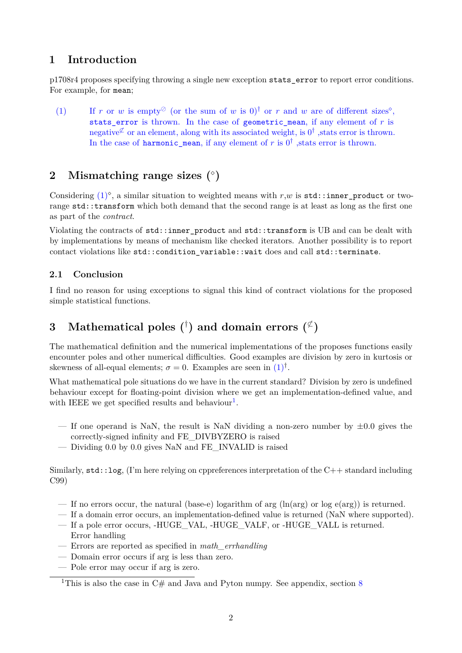## <span id="page-1-0"></span>**1 Introduction**

p1708r4 proposes specifying throwing a single new exception stats\_error to report error conditions. For example, for mean;

<span id="page-1-4"></span>(1) If *r* or *w* is empty<sup> $\oslash$ </sup> (or the sum of *w* is 0)<sup>†</sup> or *r* and *w* are of different sizes<sup> $\diamond$ </sup>, stats error is thrown. In the case of geometric mean, if any element of  $r$  is negative  $\chi^{\sharp}$  or an element, along with its associated weight, is  $0^{\dagger}$  , stats error is thrown. In the case of  $\texttt{harmonic\_mean}$ , if any element of  $r$  is  $0^{\dagger}$  , stats error is thrown.

## <span id="page-1-1"></span>**2 Mismatching range sizes ( )**

Considering  $(1)^\circ$  $(1)^\circ$ , a similar situation to weighted means with  $r,w$  is  $\text{std::inner-product}$  or tworange std::transform which both demand that the second range is at least as long as the first one as part of the *contract*.

Violating the contracts of std::inner\_product and std::transform is UB and can be dealt with by implementations by means of mechanism like checked iterators. Another possibility is to report contact violations like std::condition variable::wait does and call std::terminate.

## <span id="page-1-2"></span>**2.1 Conclusion**

I find no reason for using exceptions to signal this kind of contract violations for the proposed simple statistical functions.

## <span id="page-1-3"></span> $\mathbf 3 \quad \text{Mathematical poles} \,\, (^\dagger) \,\, \text{and} \,\, \text{domain errors} \,\, (^\not \, )$

The mathematical definition and the numerical implementations of the proposes functions easily encounter poles and other numerical difficulties. Good examples are division by zero in kurtosis or skewness of all-equal elements;  $\sigma = 0$ . Examples are seen in  $(1)^{\dagger}$  $(1)^{\dagger}$ .

What mathematical pole situations do we have in the current standard? Division by zero is undefined behaviour except for floating-point division where we get an implementation-defined value, and with IEEE we get specified results and behaviour<sup>[1](#page-1-5)</sup>.

- If one operand is NaN, the result is NaN dividing a non-zero number by  $\pm 0.0$  gives the correctly-signed infinity and FE\_DIVBYZERO is raised
- Dividing 0.0 by 0.0 gives NaN and FE\_INVALID is raised

Similarly,  $\text{std}$ :: $\log$ , (I'm here relying on cppreferences interpretation of the C++ standard including C99)

- If no errors occur, the natural (base-e) logarithm of arg  $(\ln(\arg)$  or log e(arg)) is returned.
- If a domain error occurs, an implementation-defined value is returned (NaN where supported).
- If a pole error occurs, -HUGE\_VAL, -HUGE\_VALF, or -HUGE\_VALL is returned. Error handling
- Errors are reported as specified in *math\_errhandling*
- Domain error occurs if arg is less than zero.
- Pole error may occur if arg is zero.

<span id="page-1-5"></span><sup>&</sup>lt;sup>1</sup>This is also the case in  $C#$  and Java and Pyton numpy. See appendix, section [8](#page-7-0)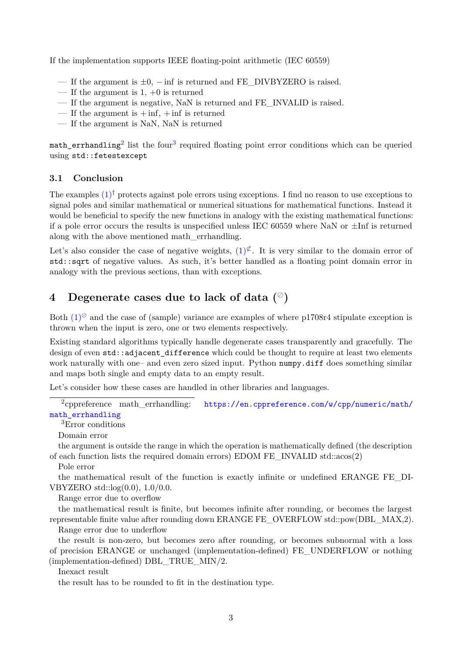If the implementation supports IEEE floating-point arithmetic (IEC 60559)

- If the argument is  $\pm 0$ , inf is returned and FE DIVBYZERO is raised.
- If the argument is  $1, +0$  is returned
- If the argument is negative, NaN is returned and FE\_INVALID is raised.
- If the argument is  $+$  inf,  $+$  inf is returned
- If the argument is NaN, NaN is returned

 $\texttt{match}\_\texttt{err}$ handling $^2$  $^2$  list the four $^3$  $^3$  required floating point error conditions which can be queried using std::fetestexcept

#### <span id="page-2-0"></span>**3.1 Conclusion**

The examples  $(1)^\dagger$  $(1)^\dagger$  protects against pole errors using exceptions. I find no reason to use exceptions to signal poles and similar mathematical or numerical situations for mathematical functions. Instead it would be beneficial to specify the new functions in analogy with the existing mathematical functions: if a pole error occurs the results is unspecified unless IEC 60559 where NaN or  $\pm$ Inf is returned along with the above mentioned math\_errhandling.

Let's also consider the case of negative weights,  $(1)^{\mathfrak{C}}$  $(1)^{\mathfrak{C}}$ . It is very similar to the domain error of std::sqrt of negative values. As such, it's better handled as a floating point domain error in analogy with the previous sections, than with exceptions.

## <span id="page-2-1"></span>**4 Degenerate cases due to lack of data ()**

Both  $(1)^\circ$  $(1)^\circ$  and the case of (sample) variance are examples of where p1708r4 stipulate exception is thrown when the input is zero, one or two elements respectively.

Existing standard algorithms typically handle degenerate cases transparently and gracefully. The design of even std::adjacent difference which could be thought to require at least two elements work naturally with one– and even zero sized input. Python numpy.diff does something similar and maps both single and empty data to an empty result.

Let's consider how these cases are handled in other libraries and languages.

<span id="page-2-2"></span> $2$ copreference math errhandling: [https://en.cppreference.com/w/cpp/numeric/math/](https://en.cppreference.com/w/cpp/numeric/math/math_errhandling ) math errhandling

<span id="page-2-3"></span><sup>3</sup>Error conditions

Domain error

the argument is outside the range in which the operation is mathematically defined (the description of each function lists the required domain errors) EDOM FE\_INVALID std::acos(2)

Pole error

the mathematical result of the function is exactly infinite or undefined ERANGE FE\_DI-VBYZERO std::log(0.0), 1.0/0.0.

Range error due to overflow

the mathematical result is finite, but becomes infinite after rounding, or becomes the largest representable finite value after rounding down ERANGE FE\_OVERFLOW std::pow(DBL\_MAX,2).

Range error due to underflow

the result is non-zero, but becomes zero after rounding, or becomes subnormal with a loss of precision ERANGE or unchanged (implementation-defined) FE\_UNDERFLOW or nothing (implementation-defined) DBL\_TRUE\_MIN/2.

Inexact result

the result has to be rounded to fit in the destination type.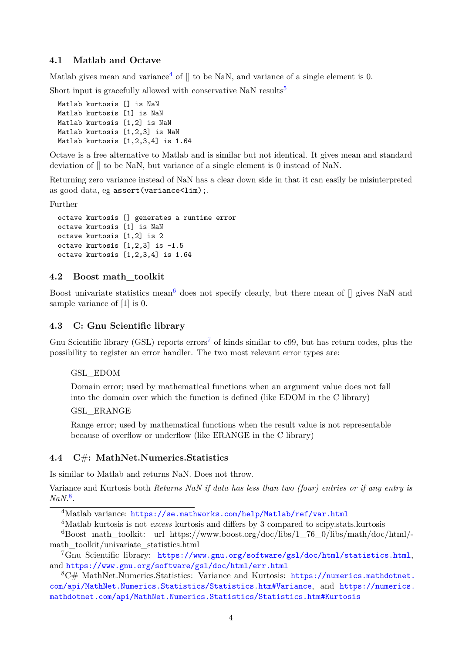### <span id="page-3-0"></span>**4.1 Matlab and Octave**

Matlab gives mean and variance<sup>[4](#page-3-4)</sup> of  $\parallel$  to be NaN, and variance of a single element is 0.

Short input is gracefully allowed with conservative NaN results<sup>[5](#page-3-5)</sup>

```
Matlab kurtosis [] is NaN
Matlab kurtosis [1] is NaN
Matlab kurtosis [1,2] is NaN
Matlab kurtosis [1,2,3] is NaN
Matlab kurtosis [1,2,3,4] is 1.64
```
Octave is a free alternative to Matlab and is similar but not identical. It gives mean and standard deviation of  $\parallel$  to be NaN, but variance of a single element is 0 instead of NaN.

Returning zero variance instead of NaN has a clear down side in that it can easily be misinterpreted as good data, eg assert (variance<lim);.

Further

```
octave kurtosis [] generates a runtime error
octave kurtosis [1] is NaN
octave kurtosis [1,2] is 2
octave kurtosis [1,2,3] is -1.5
octave kurtosis [1,2,3,4] is 1.64
```
#### <span id="page-3-1"></span>**4.2 Boost math\_toolkit**

Boost univariate statistics mean<sup>[6](#page-3-6)</sup> does not specify clearly, but there mean of  $\parallel$  gives NaN and sample variance of [1] is 0.

#### <span id="page-3-2"></span>**4.3 C: Gnu Scientific library**

Gnu Scientific library (GSL) reports errors<sup>[7](#page-3-7)</sup> of kinds similar to c99, but has return codes, plus the possibility to register an error handler. The two most relevant error types are:

#### GSL\_EDOM

Domain error; used by mathematical functions when an argument value does not fall into the domain over which the function is defined (like EDOM in the C library)

#### GSL\_ERANGE

Range error; used by mathematical functions when the result value is not representable because of overflow or underflow (like ERANGE in the C library)

## <span id="page-3-3"></span>**4.4 C**#**: MathNet.Numerics.Statistics**

Is similar to Matlab and returns NaN. Does not throw.

Variance and Kurtosis both *Returns NaN if data has less than two (four) entries or if any entry is NaN.*[8](#page-3-8) .

<span id="page-3-6"></span><span id="page-3-5"></span><sup>5</sup>Matlab kurtosis is not *excess* kurtosis and differs by 3 compared to scipy.stats.kurtosis

<span id="page-3-4"></span><sup>4</sup>Matlab variance: [https://se.mathworks.com/help/Matlab/ref/var.html](https://se.mathworks.com/help/Matlab/ref/var.html )

 $6B$ oost math toolkit: url https://www.boost.org/doc/libs/1\_76\_0/libs/math/doc/html/math\_toolkit/univariate\_statistics.html

<span id="page-3-7"></span><sup>7</sup>Gnu Scientific library: [https://www.gnu.org/software/gsl/doc/html/statistics.html](https://www.gnu.org/software/gsl/doc/html/statistics.html ), and [https://www.gnu.org/software/gsl/doc/html/err.html](https://www.gnu.org/software/gsl/doc/html/err.html )

<span id="page-3-8"></span><sup>8</sup>C# MathNet.Numerics.Statistics: Variance and Kurtosis: [https://numerics.mathdotnet.](https://numerics.mathdotnet.com/api/MathNet.Numerics.Statistics/Statistics.htm#Variance ) [com/api/MathNet.Numerics.Statistics/Statistics.htm#Variance](https://numerics.mathdotnet.com/api/MathNet.Numerics.Statistics/Statistics.htm#Variance ), and [https://numerics.](https://numerics.mathdotnet.com/api/MathNet.Numerics.Statistics/Statistics.htm#Kurtosis ) [mathdotnet.com/api/MathNet.Numerics.Statistics/Statistics.htm#Kurtosis](https://numerics.mathdotnet.com/api/MathNet.Numerics.Statistics/Statistics.htm#Kurtosis )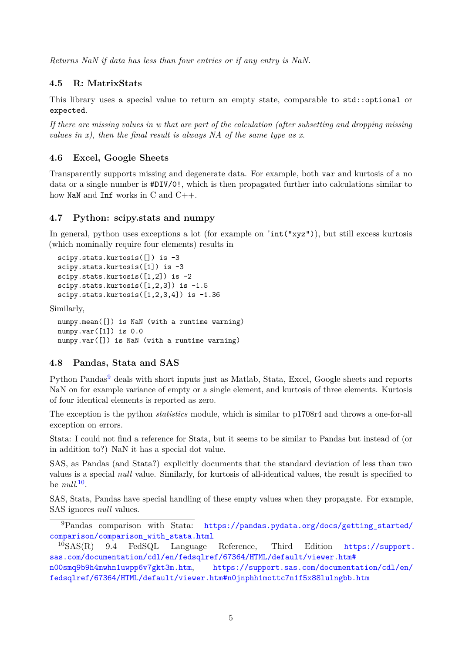*Returns NaN if data has less than four entries or if any entry is NaN.*

### <span id="page-4-0"></span>**4.5 R: MatrixStats**

This library uses a special value to return an empty state, comparable to std::optional or expected.

*If there are missing values in w that are part of the calculation (after subsetting and dropping missing values in x), then the final result is always NA of the same type as x*.

## <span id="page-4-1"></span>**4.6 Excel, Google Sheets**

Transparently supports missing and degenerate data. For example, both var and kurtosis of a no data or a single number is #DIV/0!, which is then propagated further into calculations similar to how NaN and Inf works in C and C++.

### <span id="page-4-2"></span>**4.7 Python: scipy.stats and numpy**

In general, python uses exceptions a lot (for example on "int("xyz")), but still excess kurtosis (which nominally require four elements) results in

```
scipy.stats.kurtosis([]) is -3
scipy.stats.kurtosis([1]) is -3
scipy.stats.kurtosis([1,2]) is -2
scipy.stats.kurtosis([1,2,3]) is -1.5scipy.stats.kurtosis([1,2,3,4]) is -1.36
```
Similarly,

numpy.mean([]) is NaN (with a runtime warning) numpy.var([1]) is 0.0 numpy.var([]) is NaN (with a runtime warning)

### <span id="page-4-3"></span>**4.8 Pandas, Stata and SAS**

Python Pandas<sup>[9](#page-4-4)</sup> deals with short inputs just as Matlab, Stata, Excel, Google sheets and reports NaN on for example variance of empty or a single element, and kurtosis of three elements. Kurtosis of four identical elements is reported as zero.

The exception is the python *statistics* module, which is similar to p1708r4 and throws a one-for-all exception on errors.

Stata: I could not find a reference for Stata, but it seems to be similar to Pandas but instead of (or in addition to?) NaN it has a special dot value.

SAS, as Pandas (and Stata?) explicitly documents that the standard deviation of less than two values is a special *null* value. Similarly, for kurtosis of all-identical values, the result is specified to be *null*. [10](#page-4-5) .

SAS, Stata, Pandas have special handling of these empty values when they propagate. For example, SAS ignores *null* values.

<span id="page-4-4"></span><sup>9</sup>Pandas comparison with Stata: [https://pandas.pydata.org/docs/getting\\_started/]( https://pandas.pydata.org/docs/getting_started/comparison/comparison_with_stata.html ) [comparison/comparison\\_with\\_stata.html]( https://pandas.pydata.org/docs/getting_started/comparison/comparison_with_stata.html )<br><sup>10</sup>SAS(R) 9.4 FedSQL Language

<span id="page-4-5"></span><sup>10</sup>SAS(R) 9.4 FedSQL Language Reference, Third Edition [https://support.](https://support.sas.com/documentation/cdl/en/fedsqlref/67364/HTML/default/viewer.htm#n00smq9b9h4mwhn1uwpp6v7gkt3m.htm ) [sas.com/documentation/cdl/en/fedsqlref/67364/HTML/default/viewer.htm#](https://support.sas.com/documentation/cdl/en/fedsqlref/67364/HTML/default/viewer.htm#n00smq9b9h4mwhn1uwpp6v7gkt3m.htm ) [n00smq9b9h4mwhn1uwpp6v7gkt3m.htm](https://support.sas.com/documentation/cdl/en/fedsqlref/67364/HTML/default/viewer.htm#n00smq9b9h4mwhn1uwpp6v7gkt3m.htm ), [https://support.sas.com/documentation/cdl/en/](https://support.sas.com/documentation/cdl/en/fedsqlref/67364/HTML/default/viewer.htm#n0jnphh1mottc7n1f5x88lulngbb.htm ) [fedsqlref/67364/HTML/default/viewer.htm#n0jnphh1mottc7n1f5x88lulngbb.htm](https://support.sas.com/documentation/cdl/en/fedsqlref/67364/HTML/default/viewer.htm#n0jnphh1mottc7n1f5x88lulngbb.htm )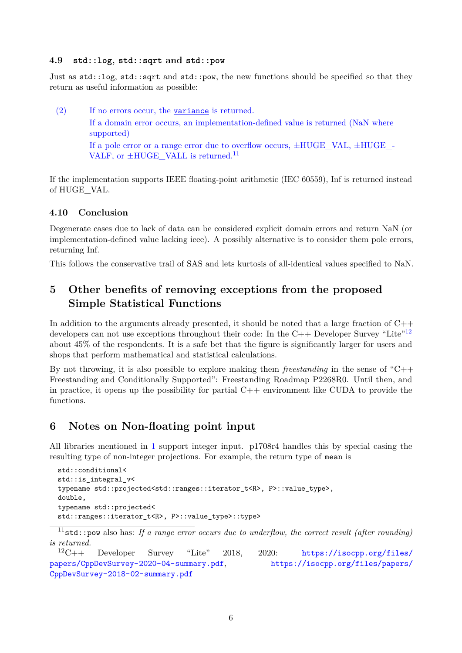#### <span id="page-5-0"></span>**4.9 std::log, std::sqrt and std::pow**

Just as std::log, std::sqrt and std::pow, the new functions should be specified so that they return as useful information as possible:

(2) If no errors occur, the variance is returned. If a domain error occurs, an implementation-defined value is returned (NaN where supported) If a pole error or a range error due to overflow occurs,  $\pm HUGE$  VAL,  $\pm HUGE$  -VALF, or  $\pm HUGE$  VALL is returned.<sup>[11](#page-5-4)</sup>

If the implementation supports IEEE floating-point arithmetic (IEC 60559), Inf is returned instead of HUGE\_VAL.

### <span id="page-5-1"></span>**4.10 Conclusion**

Degenerate cases due to lack of data can be considered explicit domain errors and return NaN (or implementation-defined value lacking ieee). A possibly alternative is to consider them pole errors, returning Inf.

This follows the conservative trail of SAS and lets kurtosis of all-identical values specified to NaN.

## <span id="page-5-2"></span>**5 Other benefits of removing exceptions from the proposed Simple Statistical Functions**

In addition to the arguments already presented, it should be noted that a large fraction of  $C_{++}$ developers can not use exceptions throughout their code: In the  $C_{++}$  Developer Survey "Lite"<sup>[12](#page-5-5)</sup> about 45% of the respondents. It is a safe bet that the figure is significantly larger for users and shops that perform mathematical and statistical calculations.

By not throwing, it is also possible to explore making them *freestanding* in the sense of "C++ Freestanding and Conditionally Supported": Freestanding Roadmap P2268R0. Until then, and in practice, it opens up the possibility for partial  $C++$  environment like CUDA to provide the functions.

## <span id="page-5-3"></span>**6 Notes on Non-floating point input**

All libraries mentioned in [1](#page-1-0) support integer input. p1708r4 handles this by special casing the resulting type of non-integer projections. For example, the return type of mean is

```
std::conditional<
std:: is integral v<
typename std::projected<std::ranges::iterator_t<R>, P>::value_type>,
double,
typename std::projected<
std::ranges::iterator_t<R>, P>::value_type>::type>
```
<span id="page-5-5"></span>*is returned.*<br> $^{12}C++$ Developer Survey "Lite" 2018, 2020: [https://isocpp.org/files/](https://isocpp.org/files/papers/CppDevSurvey-2020-04-summary.pdf ) [papers/CppDevSurvey-2020-04-summary.pdf](https://isocpp.org/files/papers/CppDevSurvey-2020-04-summary.pdf ), [https://isocpp.org/files/papers/]( https://isocpp.org/files/papers/CppDevSurvey-2018-02-summary.pdf ) [CppDevSurvey-2018-02-summary.pdf]( https://isocpp.org/files/papers/CppDevSurvey-2018-02-summary.pdf )

<span id="page-5-4"></span> $11$ std::pow also has: If a range error occurs due to underflow, the correct result (after rounding)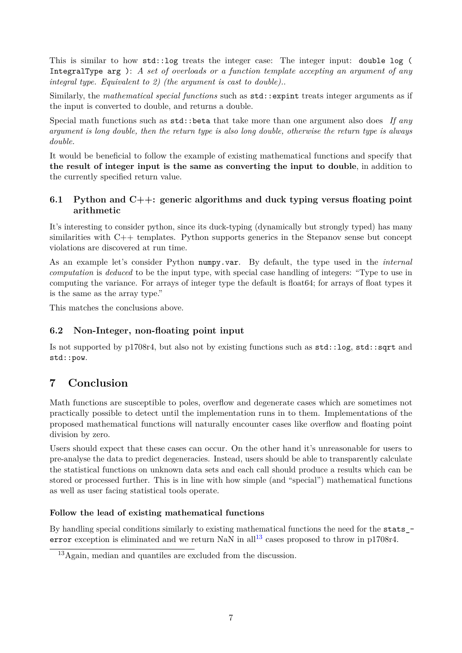This is similar to how std::log treats the integer case: The integer input: double log ( IntegralType arg ): *A set of overloads or a function template accepting an argument of any integral type. Equivalent to 2) (the argument is cast to double).*.

Similarly, the *mathematical special functions* such as std::expint treats integer arguments as if the input is converted to double, and returns a double.

Special math functions such as std::beta that take more than one argument also does *If any argument is long double, then the return type is also long double, otherwise the return type is always double.*

It would be beneficial to follow the example of existing mathematical functions and specify that **the result of integer input is the same as converting the input to double**, in addition to the currently specified return value.

## <span id="page-6-0"></span>**6.1 Python and C++: generic algorithms and duck typing versus floating point arithmetic**

It's interesting to consider python, since its duck-typing (dynamically but strongly typed) has many similarities with C++ templates. Python supports generics in the Stepanov sense but concept violations are discovered at run time.

As an example let's consider Python numpy.var. By default, the type used in the *internal computation* is *deduced* to be the input type, with special case handling of integers: "Type to use in computing the variance. For arrays of integer type the default is float64; for arrays of float types it is the same as the array type."

This matches the conclusions above.

## <span id="page-6-1"></span>**6.2 Non-Integer, non-floating point input**

Is not supported by p1708r4, but also not by existing functions such as std::log, std::sqrt and std::pow.

## <span id="page-6-2"></span>**7 Conclusion**

Math functions are susceptible to poles, overflow and degenerate cases which are sometimes not practically possible to detect until the implementation runs in to them. Implementations of the proposed mathematical functions will naturally encounter cases like overflow and floating point division by zero.

Users should expect that these cases can occur. On the other hand it's unreasonable for users to pre-analyse the data to predict degeneracies. Instead, users should be able to transparently calculate the statistical functions on unknown data sets and each call should produce a results which can be stored or processed further. This is in line with how simple (and "special") mathematical functions as well as user facing statistical tools operate.

### **Follow the lead of existing mathematical functions**

By handling special conditions similarly to existing mathematical functions the need for the stats -error exception is eliminated and we return NaN in all<sup>[13](#page-6-3)</sup> cases proposed to throw in p1708r4.

<span id="page-6-3"></span><sup>13</sup>Again, median and quantiles are excluded from the discussion.